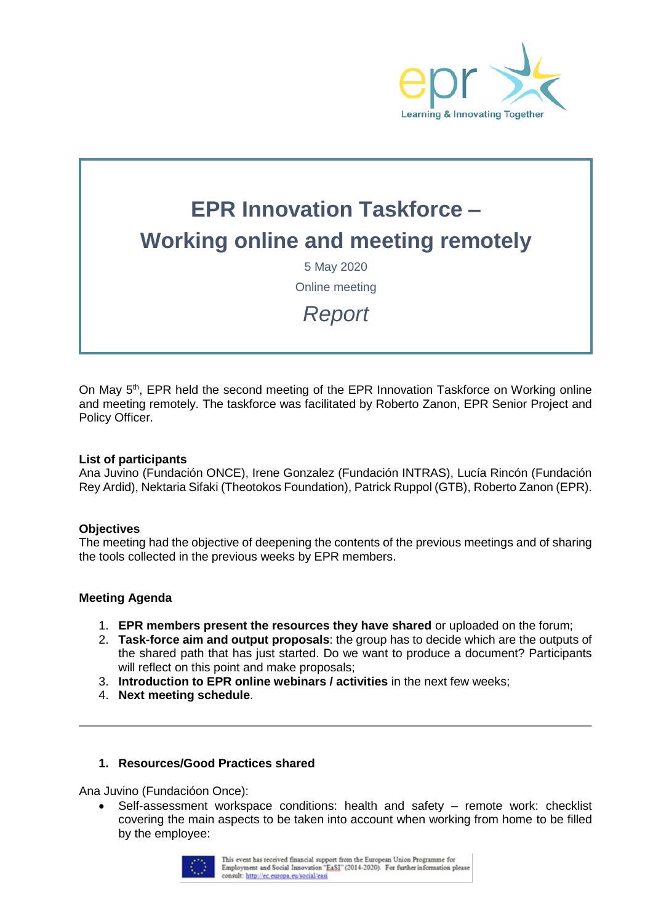

# **EPR Innovation Taskforce – Working online and meeting remotely**

5 May 2020 Online meeting

*Report*

On May 5<sup>th</sup>, EPR held the second meeting of the EPR Innovation Taskforce on Working online and meeting remotely. The taskforce was facilitated by Roberto Zanon, EPR Senior Project and Policy Officer.

#### **List of participants**

Ana Juvino (Fundación ONCE), Irene Gonzalez (Fundación INTRAS), Lucía Rincón (Fundación Rey Ardid), Nektaria Sifaki (Theotokos Foundation), Patrick Ruppol (GTB), Roberto Zanon (EPR).

#### **Objectives**

The meeting had the objective of deepening the contents of the previous meetings and of sharing the tools collected in the previous weeks by EPR members.

#### **Meeting Agenda**

- 1. **EPR members present the resources they have shared** or uploaded on the forum;
- 2. **Task-force aim and output proposals**: the group has to decide which are the outputs of the shared path that has just started. Do we want to produce a document? Participants will reflect on this point and make proposals:
- 3. **Introduction to EPR online webinars / activities** in the next few weeks;
- 4. **Next meeting schedule**.

## **1. Resources/Good Practices shared**

Ana Juvino (Fundacióon Once):

• Self-assessment workspace conditions: health and safety – remote work: checklist covering the main aspects to be taken into account when working from home to be filled by the employee:

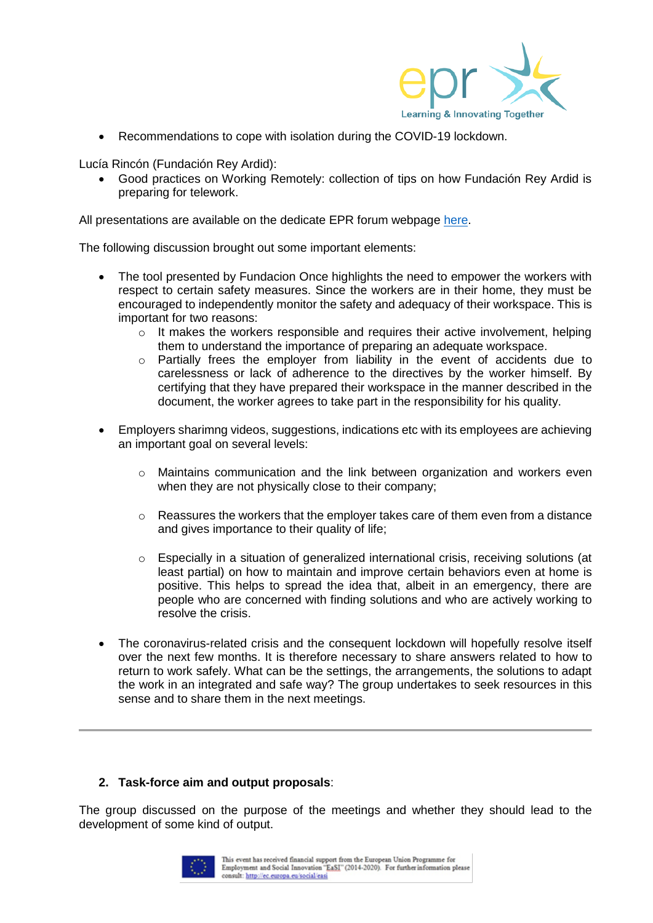

• Recommendations to cope with isolation during the COVID-19 lockdown.

Lucía Rincón (Fundación Rey Ardid):

• Good practices on Working Remotely: collection of tips on how Fundación Rey Ardid is preparing for telework.

All presentations are available on the dedicate EPR forum webpage [here.](https://www.epr.eu/forums/forum/resources-on-online-meetings-and-events/?view=all)

The following discussion brought out some important elements:

- The tool presented by Fundacion Once highlights the need to empower the workers with respect to certain safety measures. Since the workers are in their home, they must be encouraged to independently monitor the safety and adequacy of their workspace. This is important for two reasons:
	- $\circ$  It makes the workers responsible and requires their active involvement, helping them to understand the importance of preparing an adequate workspace.
	- $\circ$  Partially frees the employer from liability in the event of accidents due to carelessness or lack of adherence to the directives by the worker himself. By certifying that they have prepared their workspace in the manner described in the document, the worker agrees to take part in the responsibility for his quality.
- Employers sharimng videos, suggestions, indications etc with its employees are achieving an important goal on several levels:
	- o Maintains communication and the link between organization and workers even when they are not physically close to their company;
	- $\circ$  Reassures the workers that the employer takes care of them even from a distance and gives importance to their quality of life;
	- $\circ$  Especially in a situation of generalized international crisis, receiving solutions (at least partial) on how to maintain and improve certain behaviors even at home is positive. This helps to spread the idea that, albeit in an emergency, there are people who are concerned with finding solutions and who are actively working to resolve the crisis.
- The coronavirus-related crisis and the consequent lockdown will hopefully resolve itself over the next few months. It is therefore necessary to share answers related to how to return to work safely. What can be the settings, the arrangements, the solutions to adapt the work in an integrated and safe way? The group undertakes to seek resources in this sense and to share them in the next meetings.

## **2. Task-force aim and output proposals**:

The group discussed on the purpose of the meetings and whether they should lead to the development of some kind of output.